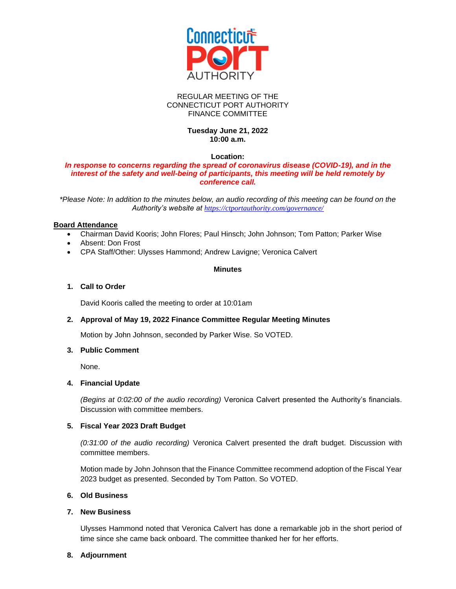

#### REGULAR MEETING OF THE CONNECTICUT PORT AUTHORITY FINANCE COMMITTEE

## **Tuesday June 21, 2022 10:00 a.m.**

#### **Location:**

#### *In response to concerns regarding the spread of coronavirus disease (COVID-19), and in the interest of the safety and well-being of participants, this meeting will be held remotely by conference call.*

*\*Please Note: In addition to the minutes below, an audio recording of this meeting can be found on the Authority's website at <https://ctportauthority.com/governance/>*

### **Board Attendance**

- Chairman David Kooris; John Flores; Paul Hinsch; John Johnson; Tom Patton; Parker Wise
- Absent: Don Frost
- CPA Staff/Other: Ulysses Hammond; Andrew Lavigne; Veronica Calvert

### **Minutes**

# **1. Call to Order**

David Kooris called the meeting to order at 10:01am

#### **2. Approval of May 19, 2022 Finance Committee Regular Meeting Minutes**

Motion by John Johnson, seconded by Parker Wise. So VOTED.

#### **3. Public Comment**

None.

## **4. Financial Update**

*(Begins at 0:02:00 of the audio recording)* Veronica Calvert presented the Authority's financials. Discussion with committee members.

#### **5. Fiscal Year 2023 Draft Budget**

*(0:31:00 of the audio recording)* Veronica Calvert presented the draft budget. Discussion with committee members.

Motion made by John Johnson that the Finance Committee recommend adoption of the Fiscal Year 2023 budget as presented. Seconded by Tom Patton. So VOTED.

## **6. Old Business**

#### **7. New Business**

Ulysses Hammond noted that Veronica Calvert has done a remarkable job in the short period of time since she came back onboard. The committee thanked her for her efforts.

#### **8. Adjournment**